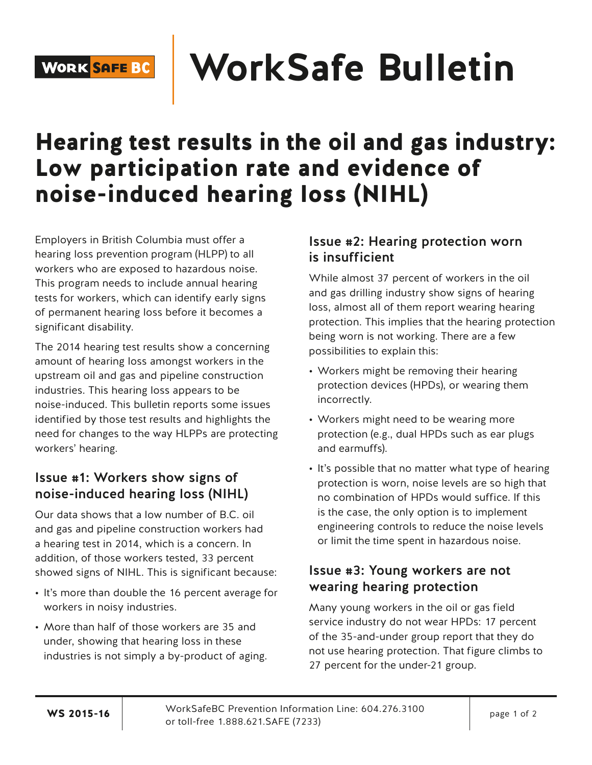# **WorkSafe Bulletin**

## Hearing test results in the oil and gas industry: Low participation rate and evidence of noise-induced hearing loss (NIHL)

Employers in British Columbia must offer a hearing loss prevention program (HLPP) to all workers who are exposed to hazardous noise. This program needs to include annual hearing tests for workers, which can identify early signs of permanent hearing loss before it becomes a significant disability.

The 2014 hearing test results show a concerning amount of hearing loss amongst workers in the upstream oil and gas and pipeline construction industries. This hearing loss appears to be noise-induced. This bulletin reports some issues identified by those test results and highlights the need for changes to the way HLPPs are protecting workers' hearing.

### Issue #1: Workers show signs of noise‑induced hearing loss (NIHL)

Our data shows that a low number of B.C. oil and gas and pipeline construction workers had a hearing test in 2014, which is a concern. In addition, of those workers tested, 33 percent showed signs of NIHL. This is significant because:

- It's more than double the 16 percent average for workers in noisy industries.
- More than half of those workers are 35 and under, showing that hearing loss in these industries is not simply a by-product of aging.

### Issue #2: Hearing protection worn is insufficient

While almost 37 percent of workers in the oil and gas drilling industry show signs of hearing loss, almost all of them report wearing hearing protection. This implies that the hearing protection being worn is not working. There are a few possibilities to explain this:

- Workers might be removing their hearing protection devices (HPDs), or wearing them incorrectly.
- Workers might need to be wearing more protection (e.g., dual HPDs such as ear plugs and earmuffs).
- It's possible that no matter what type of hearing protection is worn, noise levels are so high that no combination of HPDs would suffice. If this is the case, the only option is to implement engineering controls to reduce the noise levels or limit the time spent in hazardous noise.

#### Issue #3: Young workers are not wearing hearing protection

Many young workers in the oil or gas field service industry do not wear HPDs: 17 percent of the 35-and-under group report that they do not use hearing protection. That figure climbs to 27 percent for the under-21 group.